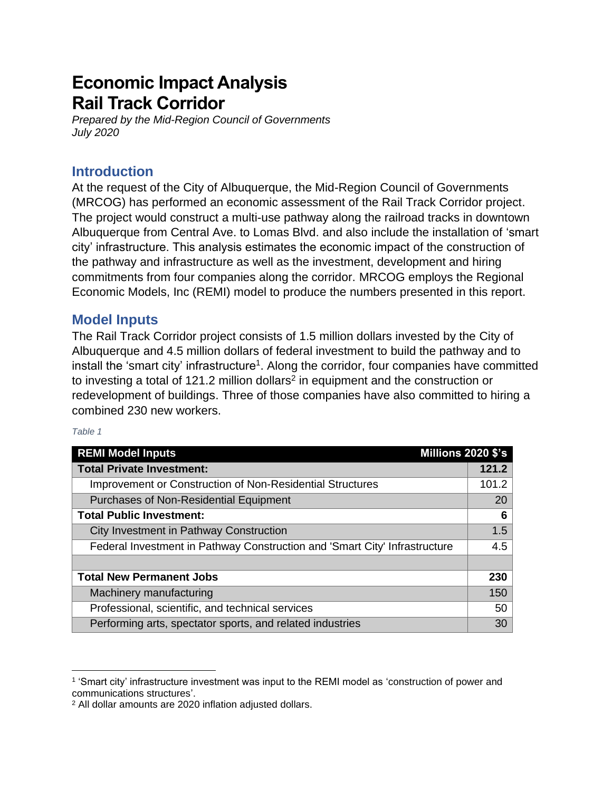# **Economic Impact Analysis Rail Track Corridor**

*Prepared by the Mid-Region Council of Governments July 2020*

## **Introduction**

At the request of the City of Albuquerque, the Mid-Region Council of Governments (MRCOG) has performed an economic assessment of the Rail Track Corridor project. The project would construct a multi-use pathway along the railroad tracks in downtown Albuquerque from Central Ave. to Lomas Blvd. and also include the installation of 'smart city' infrastructure. This analysis estimates the economic impact of the construction of the pathway and infrastructure as well as the investment, development and hiring commitments from four companies along the corridor. MRCOG employs the Regional Economic Models, Inc (REMI) model to produce the numbers presented in this report.

#### **Model Inputs**

The Rail Track Corridor project consists of 1.5 million dollars invested by the City of Albuquerque and 4.5 million dollars of federal investment to build the pathway and to install the 'smart city' infrastructure<sup>1</sup>. Along the corridor, four companies have committed to investing a total of 121.2 million dollars<sup>2</sup> in equipment and the construction or redevelopment of buildings. Three of those companies have also committed to hiring a combined 230 new workers.

#### *Table 1*

| <b>REMI Model Inputs</b><br><b>Millions 2020 \$'s</b>                      |       |
|----------------------------------------------------------------------------|-------|
| <b>Total Private Investment:</b>                                           | 121.2 |
| Improvement or Construction of Non-Residential Structures                  | 101.2 |
| <b>Purchases of Non-Residential Equipment</b>                              | 20    |
| <b>Total Public Investment:</b>                                            | 6     |
| City Investment in Pathway Construction                                    | 1.5   |
| Federal Investment in Pathway Construction and 'Smart City' Infrastructure | 4.5   |
|                                                                            |       |
| <b>Total New Permanent Jobs</b>                                            | 230   |
| Machinery manufacturing                                                    | 150   |
| Professional, scientific, and technical services                           | 50    |
| Performing arts, spectator sports, and related industries                  | 30    |

<sup>1</sup> 'Smart city' infrastructure investment was input to the REMI model as 'construction of power and communications structures'.

<sup>2</sup> All dollar amounts are 2020 inflation adjusted dollars.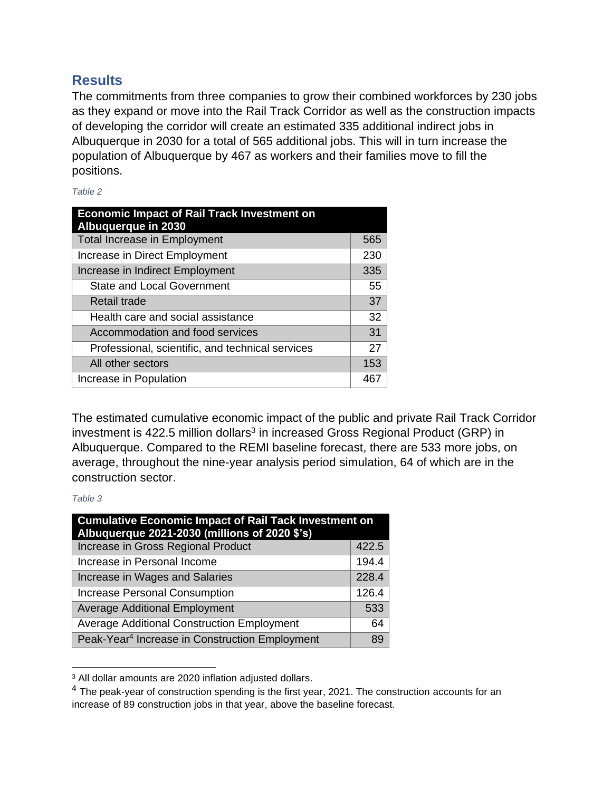#### **Results**

The commitments from three companies to grow their combined workforces by 230 jobs as they expand or move into the Rail Track Corridor as well as the construction impacts of developing the corridor will create an estimated 335 additional indirect jobs in Albuquerque in 2030 for a total of 565 additional jobs. This will in turn increase the population of Albuquerque by 467 as workers and their families move to fill the positions.

*Table 2*

| <b>Economic Impact of Rail Track Investment on</b><br><b>Albuquerque in 2030</b> |     |
|----------------------------------------------------------------------------------|-----|
| <b>Total Increase in Employment</b>                                              | 565 |
| Increase in Direct Employment                                                    | 230 |
| Increase in Indirect Employment                                                  | 335 |
| <b>State and Local Government</b>                                                | 55  |
| Retail trade                                                                     | 37  |
| Health care and social assistance                                                | 32  |
| Accommodation and food services                                                  | 31  |
| Professional, scientific, and technical services                                 | 27  |
| All other sectors                                                                | 153 |
| Increase in Population                                                           | 467 |

The estimated cumulative economic impact of the public and private Rail Track Corridor investment is 422.5 million dollars<sup>3</sup> in increased Gross Regional Product (GRP) in Albuquerque. Compared to the REMI baseline forecast, there are 533 more jobs, on average, throughout the nine-year analysis period simulation, 64 of which are in the construction sector.

#### *Table 3*

| <b>Cumulative Economic Impact of Rail Tack Investment on</b><br>Albuquerque 2021-2030 (millions of 2020 \$'s) |       |
|---------------------------------------------------------------------------------------------------------------|-------|
| Increase in Gross Regional Product                                                                            | 422.5 |
| Increase in Personal Income                                                                                   | 194.4 |
| Increase in Wages and Salaries                                                                                | 228.4 |
| Increase Personal Consumption                                                                                 | 126.4 |
| <b>Average Additional Employment</b>                                                                          | 533   |
| <b>Average Additional Construction Employment</b>                                                             | 64    |
| Peak-Year <sup>4</sup> Increase in Construction Employment                                                    | 89    |

<sup>3</sup> All dollar amounts are 2020 inflation adjusted dollars.

<sup>&</sup>lt;sup>4</sup> The peak-year of construction spending is the first year, 2021. The construction accounts for an increase of 89 construction jobs in that year, above the baseline forecast.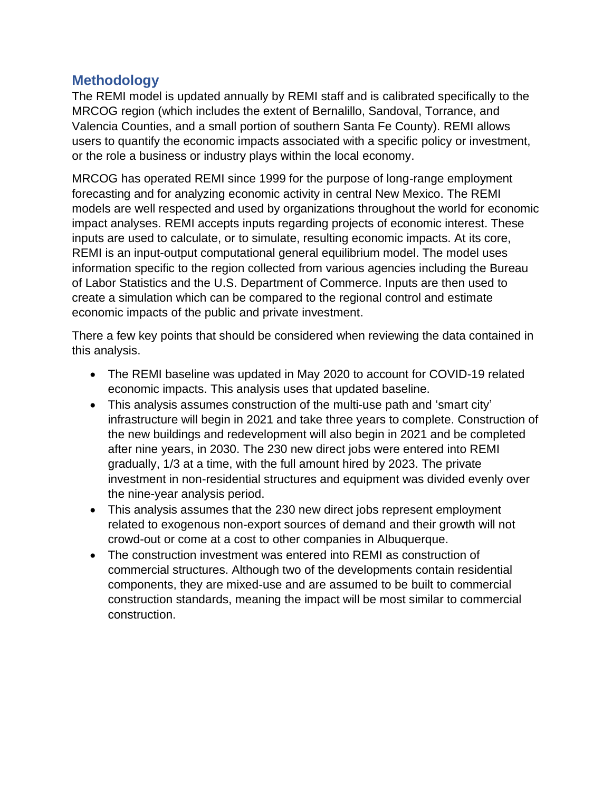## **Methodology**

The REMI model is updated annually by REMI staff and is calibrated specifically to the MRCOG region (which includes the extent of Bernalillo, Sandoval, Torrance, and Valencia Counties, and a small portion of southern Santa Fe County). REMI allows users to quantify the economic impacts associated with a specific policy or investment, or the role a business or industry plays within the local economy.

MRCOG has operated REMI since 1999 for the purpose of long-range employment forecasting and for analyzing economic activity in central New Mexico. The REMI models are well respected and used by organizations throughout the world for economic impact analyses. REMI accepts inputs regarding projects of economic interest. These inputs are used to calculate, or to simulate, resulting economic impacts. At its core, REMI is an input-output computational general equilibrium model. The model uses information specific to the region collected from various agencies including the Bureau of Labor Statistics and the U.S. Department of Commerce. Inputs are then used to create a simulation which can be compared to the regional control and estimate economic impacts of the public and private investment.

There a few key points that should be considered when reviewing the data contained in this analysis.

- The REMI baseline was updated in May 2020 to account for COVID-19 related economic impacts. This analysis uses that updated baseline.
- This analysis assumes construction of the multi-use path and 'smart city' infrastructure will begin in 2021 and take three years to complete. Construction of the new buildings and redevelopment will also begin in 2021 and be completed after nine years, in 2030. The 230 new direct jobs were entered into REMI gradually, 1/3 at a time, with the full amount hired by 2023. The private investment in non-residential structures and equipment was divided evenly over the nine-year analysis period.
- This analysis assumes that the 230 new direct jobs represent employment related to exogenous non-export sources of demand and their growth will not crowd-out or come at a cost to other companies in Albuquerque.
- The construction investment was entered into REMI as construction of commercial structures. Although two of the developments contain residential components, they are mixed-use and are assumed to be built to commercial construction standards, meaning the impact will be most similar to commercial construction.